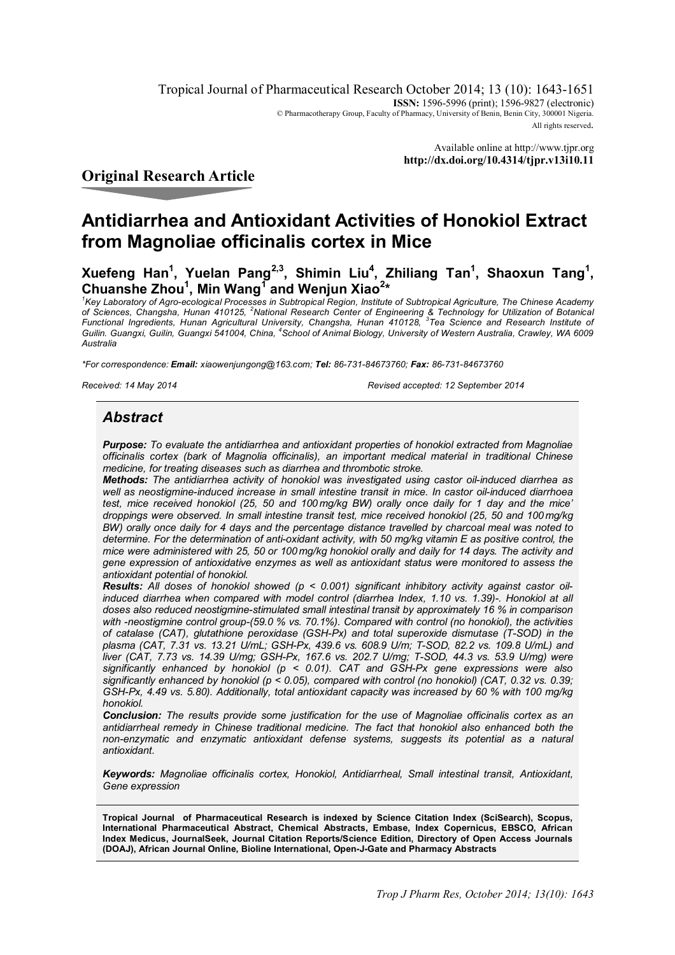Tropical Journal of Pharmaceutical Research October 2014; 13 (10): 1643-1651 **ISSN:** 1596-5996 (print); 1596-9827 (electronic) © Pharmacotherapy Group, Faculty of Pharmacy, University of Benin, Benin City, 300001 Nigeria. All rights reserved.

> Available online at http://www.tjpr.org **http://dx.doi.org/10.4314/tjpr.v13i10.11**

# **Original Research Article**

# **Antidiarrhea and Antioxidant Activities of Honokiol Extract from Magnoliae officinalis cortex in Mice**

**Xuefeng Han<sup>1</sup> , Yuelan Pang2,3, Shimin Liu<sup>4</sup> , Zhiliang Tan<sup>1</sup> , Shaoxun Tang<sup>1</sup> , Chuanshe Zhou<sup>1</sup> , Min Wang<sup>1</sup> and Wenjun Xiao<sup>2</sup> \***

*1 Key Laboratory of Agro-ecological Processes in Subtropical Region, Institute of Subtropical Agriculture, The Chinese Academy of Sciences, Changsha, Hunan 410125, <sup>2</sup>National Research Center of Engineering & Technology for Utilization of Botanical Functional Ingredients, Hunan Agricultural University, Changsha, Hunan 410128, <sup>3</sup> Tea Science and Research Institute of Guilin. Guangxi, Guilin, Guangxi 541004, China, <sup>4</sup> School of Animal Biology, University of Western Australia, Crawley, WA 6009 Australia*

*\*For correspondence: Email: xiaowenjungong@163.com; Tel: 86-731-84673760; Fax: 86-731-84673760*

*Received: 14 May 2014 Revised accepted: 12 September 2014*

# *Abstract*

*Purpose: To evaluate the antidiarrhea and antioxidant properties of honokiol extracted from Magnoliae officinalis cortex (bark of Magnolia officinalis), an important medical material in traditional Chinese medicine, for treating diseases such as diarrhea and thrombotic stroke.*

*Methods: The antidiarrhea activity of honokiol was investigated using castor oil-induced diarrhea as well as neostigmine-induced increase in small intestine transit in mice. In castor oil-induced diarrhoea test, mice received honokiol (25, 50 and 100 mg/kg BW) orally once daily for 1 day and the mice' droppings were observed. In small intestine transit test, mice received honokiol (25, 50 and 100 mg/kg BW) orally once daily for 4 days and the percentage distance travelled by charcoal meal was noted to determine. For the determination of anti-oxidant activity, with 50 mg/kg vitamin E as positive control, the mice were administered with 25, 50 or 100 mg/kg honokiol orally and daily for 14 days. The activity and gene expression of antioxidative enzymes as well as antioxidant status were monitored to assess the antioxidant potential of honokiol.*

*Results: All doses of honokiol showed (p < 0.001) significant inhibitory activity against castor oilinduced diarrhea when compared with model control (diarrhea Index, 1.10 vs. 1.39)-. Honokiol at all doses also reduced neostigmine-stimulated small intestinal transit by approximately 16 % in comparison with -neostigmine control group-(59.0 % vs. 70.1%). Compared with control (no honokiol), the activities of catalase (CAT), glutathione peroxidase (GSH-Px) and total superoxide dismutase (T-SOD) in the plasma (CAT, 7.31 vs. 13.21 U/mL; GSH-Px, 439.6 vs. 608.9 U/m; T-SOD, 82.2 vs. 109.8 U/mL) and liver (CAT, 7.73 vs. 14.39 U/mg; GSH-Px, 167.6 vs. 202.7 U/mg; T-SOD, 44.3 vs. 53.9 U/mg) were significantly enhanced by honokiol (p < 0.01). CAT and GSH-Px gene expressions were also significantly enhanced by honokiol (p < 0.05), compared with control (no honokiol) (CAT, 0.32 vs. 0.39; GSH-Px, 4.49 vs. 5.80). Additionally, total antioxidant capacity was increased by 60 % with 100 mg/kg honokiol.*

*Conclusion: The results provide some justification for the use of Magnoliae officinalis cortex as an antidiarrheal remedy in Chinese traditional medicine. The fact that honokiol also enhanced both the non-enzymatic and enzymatic antioxidant defense systems, suggests its potential as a natural antioxidant.*

*Keywords: Magnoliae officinalis cortex, Honokiol, Antidiarrheal, Small intestinal transit, Antioxidant, Gene expression*

**Tropical Journal of Pharmaceutical Research is indexed by Science Citation Index (SciSearch), Scopus, International Pharmaceutical Abstract, Chemical Abstracts, Embase, Index Copernicus, EBSCO, African Index Medicus, JournalSeek, Journal Citation Reports/Science Edition, Directory of Open Access Journals (DOAJ), African Journal Online, Bioline International, Open-J-Gate and Pharmacy Abstracts**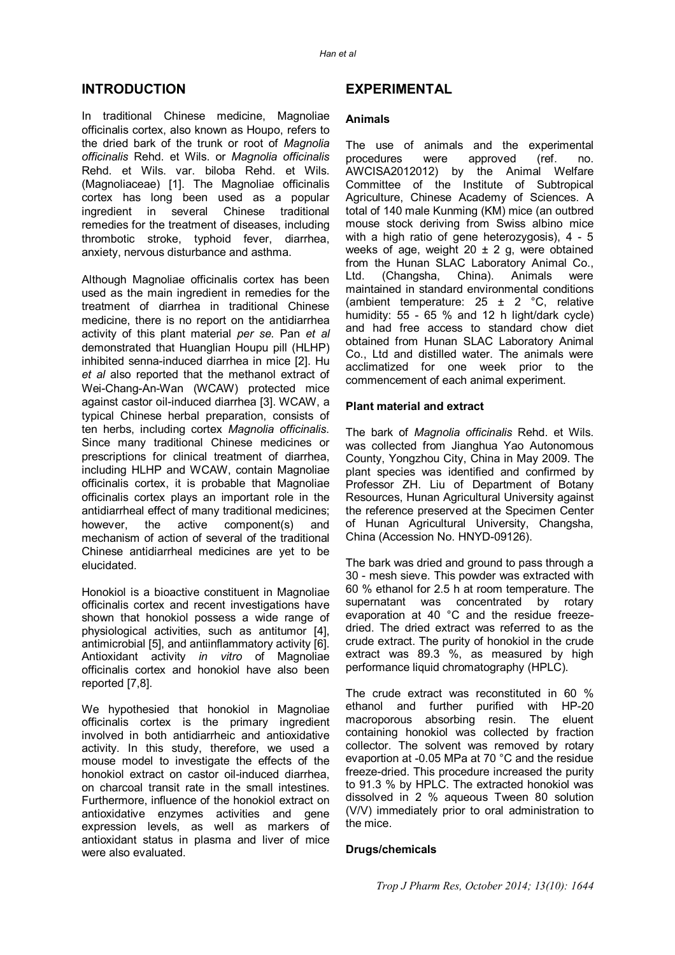## **INTRODUCTION**

In traditional Chinese medicine, Magnoliae officinalis cortex, also known as Houpo, refers to the dried bark of the trunk or root of *Magnolia officinalis* Rehd. et Wils. or *Magnolia officinalis* Rehd. et Wils. var. biloba Rehd. et Wils. (Magnoliaceae) [1]. The Magnoliae officinalis cortex has long been used as a popular ingredient in several Chinese traditional remedies for the treatment of diseases, including thrombotic stroke, typhoid fever, diarrhea, anxiety, nervous disturbance and asthma.

Although Magnoliae officinalis cortex has been used as the main ingredient in remedies for the treatment of diarrhea in traditional Chinese medicine, there is no report on the antidiarrhea activity of this plant material *per se*. Pan *et al* demonstrated that Huanglian Houpu pill (HLHP) inhibited senna-induced diarrhea in mice [2]. Hu *et al* also reported that the methanol extract of Wei-Chang-An-Wan (WCAW) protected mice against castor oil-induced diarrhea [3]. WCAW, a typical Chinese herbal preparation, consists of ten herbs, including cortex *Magnolia officinalis*. Since many traditional Chinese medicines or prescriptions for clinical treatment of diarrhea, including HLHP and WCAW, contain Magnoliae officinalis cortex, it is probable that Magnoliae officinalis cortex plays an important role in the antidiarrheal effect of many traditional medicines; however, the active component(s) and mechanism of action of several of the traditional Chinese antidiarrheal medicines are yet to be elucidated.

Honokiol is a bioactive constituent in Magnoliae officinalis cortex and recent investigations have shown that honokiol possess a wide range of physiological activities, such as antitumor [4], antimicrobial [5], and antiinflammatory activity [6]. Antioxidant activity *in vitro* of Magnoliae officinalis cortex and honokiol have also been reported [7,8].

We hypothesied that honokiol in Magnoliae officinalis cortex is the primary ingredient involved in both antidiarrheic and antioxidative activity. In this study, therefore, we used a mouse model to investigate the effects of the honokiol extract on castor oil-induced diarrhea, on charcoal transit rate in the small intestines. Furthermore, influence of the honokiol extract on antioxidative enzymes activities and gene expression levels, as well as markers of antioxidant status in plasma and liver of mice were also evaluated.

## **EXPERIMENTAL**

#### **Animals**

The use of animals and the experimental procedures were approved (ref. no. AWCISA2012012) by the Animal Welfare Committee of the Institute of Subtropical Agriculture, Chinese Academy of Sciences. A total of 140 male Kunming (KM) mice (an outbred mouse stock deriving from Swiss albino mice with a high ratio of gene heterozygosis), 4 - 5 weeks of age, weight  $20 \pm 2$  g, were obtained from the Hunan SLAC Laboratory Animal Co., Ltd. (Changsha, China). Animals were maintained in standard environmental conditions (ambient temperature:  $25 \pm 2$  °C, relative humidity: 55 - 65 % and 12 h light/dark cycle) and had free access to standard chow diet obtained from Hunan SLAC Laboratory Animal Co., Ltd and distilled water. The animals were acclimatized for one week prior to the commencement of each animal experiment.

#### **Plant material and extract**

The bark of *Magnolia officinalis* Rehd. et Wils. was collected from Jianghua Yao Autonomous County, Yongzhou City, China in May 2009. The plant species was identified and confirmed by Professor ZH. Liu of Department of Botany Resources, Hunan Agricultural University against the reference preserved at the Specimen Center of Hunan Agricultural University, Changsha, China (Accession No. HNYD-09126).

The bark was dried and ground to pass through a 30 - mesh sieve. This powder was extracted with 60 % ethanol for 2.5 h at room temperature. The supernatant was concentrated by rotary evaporation at 40 °C and the residue freezedried. The dried extract was referred to as the crude extract. The purity of honokiol in the crude extract was 89.3 %, as measured by high performance liquid chromatography (HPLC).

The crude extract was reconstituted in 60 % ethanol and further purified with HP-20 macroporous absorbing resin. The eluent containing honokiol was collected by fraction collector. The solvent was removed by rotary evaportion at -0.05 MPa at 70 °C and the residue freeze-dried. This procedure increased the purity to 91.3 % by HPLC. The extracted honokiol was dissolved in 2 % aqueous Tween 80 solution (V/V) immediately prior to oral administration to the mice.

#### **Drugs/chemicals**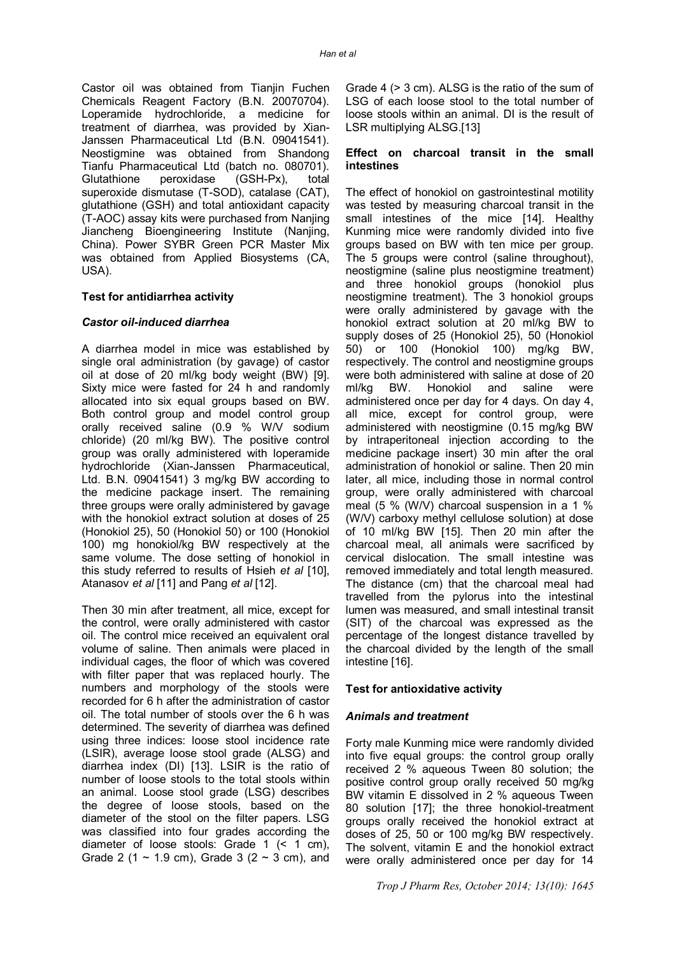Castor oil was obtained from Tianjin Fuchen Chemicals Reagent Factory (B.N. 20070704). Loperamide hydrochloride, a medicine for treatment of diarrhea, was provided by Xian-Janssen Pharmaceutical Ltd (B.N. 09041541). Neostigmine was obtained from Shandong Tianfu Pharmaceutical Ltd (batch no. 080701).<br>Glutathione peroxidase (GSH-Px), total Glutathione peroxidase (GSH-Px), total superoxide dismutase (T-SOD), catalase (CAT), glutathione (GSH) and total antioxidant capacity (T-AOC) assay kits were purchased from Nanjing Jiancheng Bioengineering Institute (Nanjing, China). Power SYBR Green PCR Master Mix was obtained from Applied Biosystems (CA, USA).

#### **Test for antidiarrhea activity**

#### *Castor oil-induced diarrhea*

A diarrhea model in mice was established by single oral administration (by gavage) of castor oil at dose of 20 ml/kg body weight (BW) [9]. Sixty mice were fasted for 24 h and randomly allocated into six equal groups based on BW. Both control group and model control group orally received saline (0.9 % W/V sodium chloride) (20 ml/kg BW). The positive control group was orally administered with loperamide hydrochloride (Xian-Janssen Pharmaceutical, Ltd. B.N. 09041541) 3 mg/kg BW according to the medicine package insert. The remaining three groups were orally administered by gavage with the honokiol extract solution at doses of 25 (Honokiol 25), 50 (Honokiol 50) or 100 (Honokiol 100) mg honokiol/kg BW respectively at the same volume. The dose setting of honokiol in this study referred to results of Hsieh *et al* [10], Atanasov *et al* [11] and Pang *et al* [12].

Then 30 min after treatment, all mice, except for the control, were orally administered with castor oil. The control mice received an equivalent oral volume of saline. Then animals were placed in individual cages, the floor of which was covered with filter paper that was replaced hourly. The numbers and morphology of the stools were recorded for 6 h after the administration of castor oil. The total number of stools over the 6 h was determined. The severity of diarrhea was defined using three indices: loose stool incidence rate (LSIR), average loose stool grade (ALSG) and diarrhea index (DI) [13]. LSIR is the ratio of number of loose stools to the total stools within an animal. Loose stool grade (LSG) describes the degree of loose stools, based on the diameter of the stool on the filter papers. LSG was classified into four grades according the diameter of loose stools: Grade 1 (< 1 cm), Grade 2 (1  $\sim$  1.9 cm), Grade 3 (2  $\sim$  3 cm), and

Grade 4 (> 3 cm). ALSG is the ratio of the sum of LSG of each loose stool to the total number of loose stools within an animal. DI is the result of LSR multiplying ALSG.[13]

#### **Effect on charcoal transit in the small intestines**

The effect of honokiol on gastrointestinal motility was tested by measuring charcoal transit in the small intestines of the mice [14]. Healthy Kunming mice were randomly divided into five groups based on BW with ten mice per group. The 5 groups were control (saline throughout), neostigmine (saline plus neostigmine treatment) and three honokiol groups (honokiol plus neostigmine treatment). The 3 honokiol groups were orally administered by gavage with the honokiol extract solution at 20 ml/kg BW to supply doses of 25 (Honokiol 25), 50 (Honokiol 50) or 100 (Honokiol 100) mg/kg BW, respectively. The control and neostigmine groups were both administered with saline at dose of 20 ml/kg BW. Honokiol and saline were administered once per day for 4 days. On day 4, all mice, except for control group, were administered with neostigmine (0.15 mg/kg BW by intraperitoneal injection according to the medicine package insert) 30 min after the oral administration of honokiol or saline. Then 20 min later, all mice, including those in normal control group, were orally administered with charcoal meal (5 % (W/V) charcoal suspension in a 1 % (W/V) carboxy methyl cellulose solution) at dose of 10 ml/kg BW [15]. Then 20 min after the charcoal meal, all animals were sacrificed by cervical dislocation. The small intestine was removed immediately and total length measured. The distance (cm) that the charcoal meal had travelled from the pylorus into the intestinal lumen was measured, and small intestinal transit (SIT) of the charcoal was expressed as the percentage of the longest distance travelled by the charcoal divided by the length of the small intestine [16].

#### **Test for antioxidative activity**

#### *Animals and treatment*

Forty male Kunming mice were randomly divided into five equal groups: the control group orally received 2 % aqueous Tween 80 solution; the positive control group orally received 50 mg/kg BW vitamin E dissolved in 2 % aqueous Tween 80 solution [17]; the three honokiol-treatment groups orally received the honokiol extract at doses of 25, 50 or 100 mg/kg BW respectively. The solvent, vitamin E and the honokiol extract were orally administered once per day for 14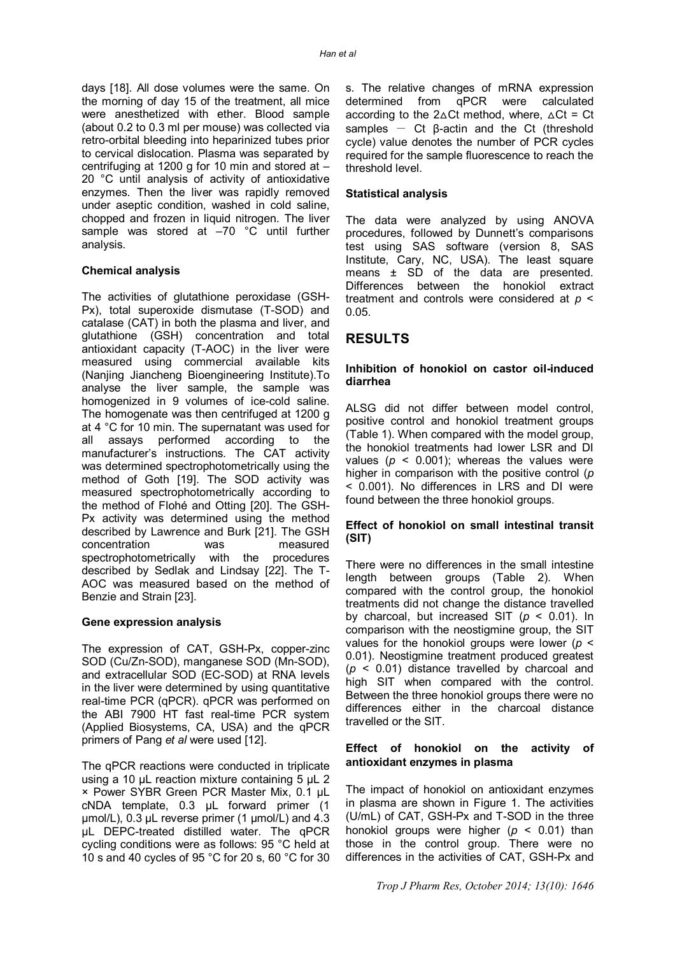days [18]. All dose volumes were the same. On the morning of day 15 of the treatment, all mice were anesthetized with ether. Blood sample (about 0.2 to 0.3 ml per mouse) was collected via retro-orbital bleeding into heparinized tubes prior to cervical dislocation. Plasma was separated by centrifuging at 1200 g for 10 min and stored at – 20 °C until analysis of activity of antioxidative enzymes. Then the liver was rapidly removed under aseptic condition, washed in cold saline, chopped and frozen in liquid nitrogen. The liver sample was stored at -70 °C until further analysis.

#### **Chemical analysis**

The activities of glutathione peroxidase (GSH-Px), total superoxide dismutase (T-SOD) and catalase (CAT) in both the plasma and liver, and glutathione (GSH) concentration and total antioxidant capacity (T-AOC) in the liver were measured using commercial available kits (Nanjing Jiancheng Bioengineering Institute).To analyse the liver sample, the sample was homogenized in 9 volumes of ice-cold saline. The homogenate was then centrifuged at 1200 g at 4 °C for 10 min. The supernatant was used for all assays performed according to the manufacturer's instructions. The CAT activity was determined spectrophotometrically using the method of Goth [19]. The SOD activity was measured spectrophotometrically according to the method of Flohé and Otting [20]. The GSH-Px activity was determined using the method described by Lawrence and Burk [21]. The GSH concentration was measured spectrophotometrically with the procedures described by Sedlak and Lindsay [22]. The T-AOC was measured based on the method of Benzie and Strain [23].

#### **Gene expression analysis**

The expression of CAT, GSH-Px, copper-zinc SOD (Cu/Zn-SOD), manganese SOD (Mn-SOD), and extracellular SOD (EC-SOD) at RNA levels in the liver were determined by using quantitative real-time PCR (qPCR). qPCR was performed on the ABI 7900 HT fast real-time PCR system (Applied Biosystems, CA, USA) and the qPCR primers of Pang *et al* were used [12].

The qPCR reactions were conducted in triplicate using a 10 μL reaction mixture containing 5 μL 2 × Power SYBR Green PCR Master Mix, 0.1 μL cNDA template, 0.3 μL forward primer (1 μmol/L), 0.3 μL reverse primer (1 μmol/L) and 4.3 μL DEPC-treated distilled water. The qPCR cycling conditions were as follows: 95 °C held at 10 s and 40 cycles of 95 °C for 20 s, 60 °C for 30

s. The relative changes of mRNA expression<br>determined from qPCR were calculated qPCR were calculated according to the  $2\Delta Ct$  method, where,  $\Delta Ct$  = Ct samples  $-$  Ct  $\beta$ -actin and the Ct (threshold cycle) value denotes the number of PCR cycles required for the sample fluorescence to reach the threshold level.

#### **Statistical analysis**

The data were analyzed by using ANOVA procedures, followed by Dunnett's comparisons test using SAS software (version 8, SAS Institute, Cary, NC, USA). The least square means ± SD of the data are presented. Differences between the honokiol extract treatment and controls were considered at *p* < 0.05.

## **RESULTS**

#### **Inhibition of honokiol on castor oil-induced diarrhea**

ALSG did not differ between model control, positive control and honokiol treatment groups (Table 1). When compared with the model group, the honokiol treatments had lower LSR and DI values ( $p \le 0.001$ ); whereas the values were higher in comparison with the positive control (*p* < 0.001). No differences in LRS and DI were found between the three honokiol groups.

#### **Effect of honokiol on small intestinal transit (SIT)**

There were no differences in the small intestine length between groups (Table 2). When compared with the control group, the honokiol treatments did not change the distance travelled by charcoal, but increased SIT (*p* < 0.01). In comparison with the neostigmine group, the SIT values for the honokiol groups were lower (*p* < 0.01). Neostigmine treatment produced greatest (*p* < 0.01) distance travelled by charcoal and high SIT when compared with the control. Between the three honokiol groups there were no differences either in the charcoal distance travelled or the SIT.

#### **Effect of honokiol on the activity of antioxidant enzymes in plasma**

The impact of honokiol on antioxidant enzymes in plasma are shown in Figure 1. The activities (U/mL) of CAT, GSH-Px and T-SOD in the three honokiol groups were higher (*p* < 0.01) than those in the control group. There were no differences in the activities of CAT, GSH-Px and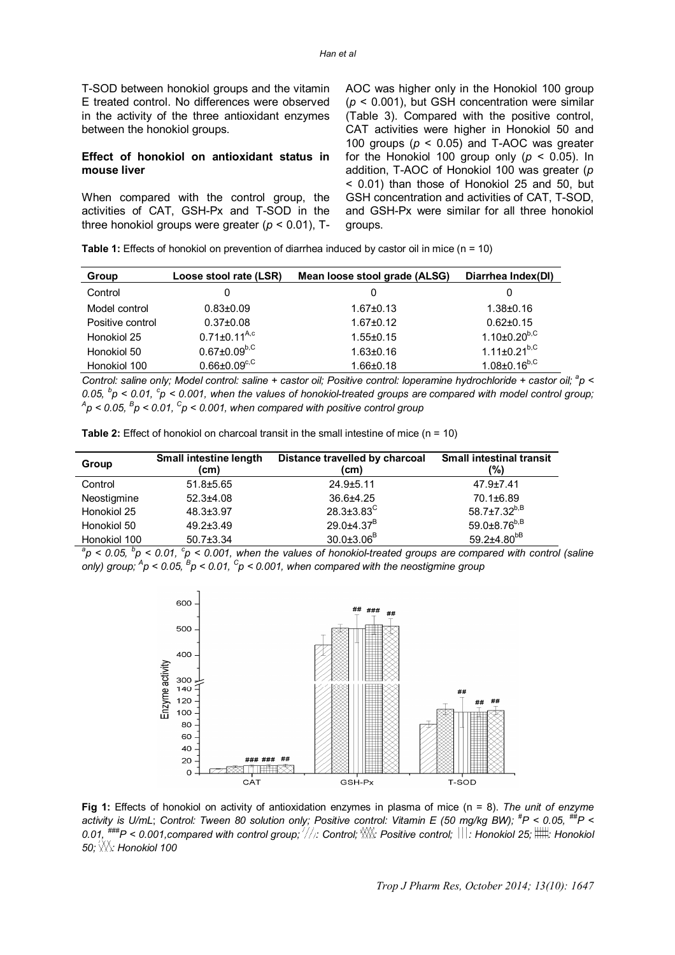T-SOD between honokiol groups and the vitamin E treated control. No differences were observed in the activity of the three antioxidant enzymes between the honokiol groups.

#### **Effect of honokiol on antioxidant status in mouse liver**

When compared with the control group, the activities of CAT, GSH-Px and T-SOD in the three honokiol groups were greater (*p* < 0.01), T-

AOC was higher only in the Honokiol 100 group (*p* < 0.001), but GSH concentration were similar (Table 3). Compared with the positive control, CAT activities were higher in Honokiol 50 and 100 groups (*p* < 0.05) and T-AOC was greater for the Honokiol 100 group only  $(p < 0.05)$ . In addition, T-AOC of Honokiol 100 was greater (*p* < 0.01) than those of Honokiol 25 and 50, but GSH concentration and activities of CAT, T-SOD, and GSH-Px were similar for all three honokiol groups.

|  | <b>Table 1:</b> Effects of honokiol on prevention of diarrhea induced by castor oil in mice ( $n = 10$ ) |  |  |
|--|----------------------------------------------------------------------------------------------------------|--|--|
|--|----------------------------------------------------------------------------------------------------------|--|--|

| Group            | Loose stool rate (LSR)              | Mean loose stool grade (ALSG) | Diarrhea Index(DI)             |
|------------------|-------------------------------------|-------------------------------|--------------------------------|
| Control          | 0                                   |                               | 0                              |
| Model control    | $0.83 + 0.09$                       | $1.67 \pm 0.13$               | $1.38 \pm 0.16$                |
| Positive control | $0.37 \pm 0.08$                     | $1.67 \pm 0.12$               | $0.62 \pm 0.15$                |
| Honokiol 25      | $0.71 \pm 0.11^{A,c}$               | $1.55 \pm 0.15$               | $1.10{\pm}0.20^{\mathrm{b,C}}$ |
| Honokiol 50      | $0.67 \pm 0.09^{b,C}$               | $1.63 \pm 0.16$               | $1.11 \pm 0.21^{b,C}$          |
| Honokiol 100     | $0.66 \pm 0.09^{\text{c},\text{C}}$ | $1.66 \pm 0.18$               | $1.08 \pm 0.16^{b,C}$          |

Control: saline only; Model control: saline + castor oil; Positive control: loperamine hydrochloride + castor oil; <sup>a</sup>p < *0.05, <sup>b</sup> p < 0.01, <sup>c</sup> p < 0.001, when the values of honokiol-treated groups are compared with model control group; A p < 0.05, <sup>B</sup> p < 0.01, <sup>C</sup> p < 0.001, when compared with positive control group*

| Group        | Small intestine length<br>(cm) | Distance travelled by charcoal<br>(cm) | <b>Small intestinal transit</b><br>(%) |
|--------------|--------------------------------|----------------------------------------|----------------------------------------|
| Control      | $51.8 \pm 5.65$                | $24.9 \pm 5.11$                        | $47.9 \pm 7.41$                        |
| Neostigmine  | $52.3 + 4.08$                  | 36.6±4.25                              | 70.1±6.89                              |
| Honokiol 25  | $48.3 \pm 3.97$                | $28.3 \pm 3.83^C$                      | 58.7±7.32 $b, B$                       |
| Honokiol 50  | $49.2 \pm 3.49$                | $29.0\pm4.37^{B}$                      | $59.0\pm8.76^{b,B}$                    |
| Honokiol 100 | $50.7 \pm 3.34$                | $30.0 \pm 3.06^B$                      | 59.2±4.80 <sup>bB</sup>                |

**Table 2:** Effect of honokiol on charcoal transit in the small intestine of mice (n = 10)

*a p < 0.05, <sup>b</sup> p < 0.01, <sup>c</sup> p < 0.001, when the values of honokiol-treated groups are compared with control (saline only) group; <sup>A</sup> p < 0.05, <sup>B</sup> p < 0.01, <sup>C</sup> p < 0.001, when compared with the neostigmine group*



**Fig 1:** Effects of honokiol on activity of antioxidation enzymes in plasma of mice (n = 8). *The unit of enzyme activity is U/mL*; *Control: Tween 80 solution only; Positive control: Vitamin E (50 mg/kg BW); #P < 0.05, ##P <*  0.01, <sup>###</sup>P < 0.001,compared with control group;  $\Z$  : Control;  $\gg$  Positive control;  $\text{III:}\,$  Honokiol 25;  $\text{III:}\,$  Honokiol *50; \\\\: Honokiol 100*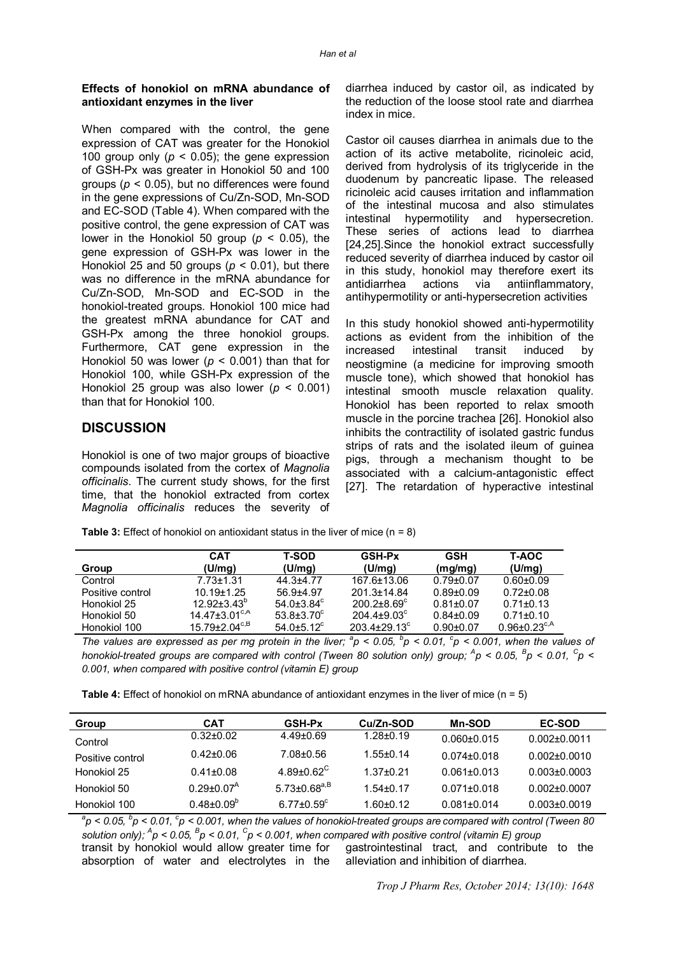#### **Effects of honokiol on mRNA abundance of antioxidant enzymes in the liver**

When compared with the control, the gene expression of CAT was greater for the Honokiol 100 group only  $(p < 0.05)$ ; the gene expression of GSH-Px was greater in Honokiol 50 and 100 groups (*p* < 0.05), but no differences were found in the gene expressions of Cu/Zn-SOD, Mn-SOD and EC-SOD (Table 4). When compared with the positive control, the gene expression of CAT was lower in the Honokiol 50 group (*p* < 0.05), the gene expression of GSH-Px was lower in the Honokiol 25 and 50 groups (*p* < 0.01), but there was no difference in the mRNA abundance for Cu/Zn-SOD, Mn-SOD and EC-SOD in the honokiol-treated groups. Honokiol 100 mice had the greatest mRNA abundance for CAT and GSH-Px among the three honokiol groups. Furthermore, CAT gene expression in the Honokiol 50 was lower (*p* < 0.001) than that for Honokiol 100, while GSH-Px expression of the Honokiol 25 group was also lower (*p* < 0.001) than that for Honokiol 100.

## **DISCUSSION**

Honokiol is one of two major groups of bioactive compounds isolated from the cortex of *Magnolia officinalis*. The current study shows, for the first time, that the honokiol extracted from cortex *Magnolia officinalis* reduces the severity of

diarrhea induced by castor oil, as indicated by the reduction of the loose stool rate and diarrhea index in mice.

Castor oil causes diarrhea in animals due to the action of its active metabolite, ricinoleic acid, derived from hydrolysis of its triglyceride in the duodenum by pancreatic lipase. The released ricinoleic acid causes irritation and inflammation of the intestinal mucosa and also stimulates intestinal hypermotility and hypersecretion. These series of actions lead to diarrhea [24,25].Since the honokiol extract successfully reduced severity of diarrhea induced by castor oil in this study, honokiol may therefore exert its<br>antidiarrhea actions via antiinflammatory. antidiarrhea actions via antiinflammatory, antihypermotility or anti-hypersecretion activities

In this study honokiol showed anti-hypermotility actions as evident from the inhibition of the increased intestinal transit induced by neostigmine (a medicine for improving smooth muscle tone), which showed that honokiol has intestinal smooth muscle relaxation quality. Honokiol has been reported to relax smooth muscle in the porcine trachea [26]. Honokiol also inhibits the contractility of isolated gastric fundus strips of rats and the isolated ileum of guinea pigs, through a mechanism thought to be associated with a calcium-antagonistic effect [27]. The retardation of hyperactive intestinal

**Table 3:** Effect of honokiol on antioxidant status in the liver of mice (n = 8)

| Group            | <b>CAT</b><br>(U/mq)               | T-SOD<br>(U/mq)              | <b>GSH-Px</b><br>(U/mq) | GSH<br>(mg/mg)  | <b>T-AOC</b><br>(U/mq)   |
|------------------|------------------------------------|------------------------------|-------------------------|-----------------|--------------------------|
| Control          | $7.73 \pm 1.31$                    | 44.3±4.77                    | 167.6±13.06             | $0.79 \pm 0.07$ | $0.60 + 0.09$            |
| Positive control | $10.19 + 1.25$                     | $56.9 + 4.97$                | 201.3+14.84             | $0.89 + 0.09$   | $0.72 + 0.08$            |
| Honokiol 25      | $12.92 + 3.43^{\circ}$             | $54.0 \pm 3.84$ <sup>c</sup> | $200.2 + 8.69^{\circ}$  | $0.81 \pm 0.07$ | $0.71 \pm 0.13$          |
| Honokiol 50      | $14.47 \pm 3.01^{\text{c,A}}$      | $53.8 + 3.70^{\circ}$        | $204.4 \pm 9.03^c$      | $0.84 \pm 0.09$ | $0.71 \pm 0.10$          |
| Honokiol 100     | $15.79 + 2.04^{\text{c},\text{B}}$ | $54.0 + 5.12$ <sup>c</sup>   | $203.4 + 29.13^c$       | $0.90 + 0.07$   | 0.96+0.23 <sup>c,A</sup> |

*The values are expressed as per mg protein in the liver;*  ${}^{a}p$  < 0.05,  ${}^{b}p$  < 0.01,  ${}^{c}p$  < 0.001, when the values of *honokiol-treated groups are compared with control (Tween 80 solution only) group; <sup>A</sup> p < 0.05, <sup>B</sup> p < 0.01, <sup>C</sup> p < 0.001, when compared with positive control (vitamin E) group*

**Table 4:** Effect of honokiol on mRNA abundance of antioxidant enzymes in the liver of mice (n = 5)

| Group            | <b>CAT</b>            | <b>GSH-Px</b>          | Cu/Zn-SOD     | <b>Mn-SOD</b>     | <b>EC-SOD</b>      |
|------------------|-----------------------|------------------------|---------------|-------------------|--------------------|
| Control          | $0.32 + 0.02$         | $4.49 + 0.69$          | $1.28 + 0.19$ | $0.060 \pm 0.015$ | $0.002 + 0.0011$   |
| Positive control | $0.42 \pm 0.06$       | 7.08±0.56              | $1.55 + 0.14$ | $0.074 + 0.018$   | $0.002 + 0.0010$   |
| Honokiol 25      | $0.41 + 0.08$         | 4.89+0.62 <sup>C</sup> | $1.37 + 0.21$ | $0.061 + 0.013$   | $0.003 \pm 0.0003$ |
| Honokiol 50      | $0.29 + 0.07A$        | $5.73{\pm}0.68^{a,B}$  | $1.54 + 0.17$ | $0.071 + 0.018$   | $0.002 + 0.0007$   |
| Honokiol 100     | $0.48 + 0.09^{\circ}$ | $6.77 + 0.59^c$        | $1.60 + 0.12$ | $0.081 + 0.014$   | 0.003+0.0019       |

*a p < 0.05, <sup>b</sup> p < 0.01, <sup>c</sup> p < 0.001, when the values of honokiol-treated groups are compared with control (Tween 80 solution only); <sup>A</sup> p < 0.05, <sup>B</sup> p < 0.01, <sup>C</sup> p < 0.001, when compared with positive control (vitamin E) group* transit by honokiol would allow greater time for absorption of water and electrolytes in the gastrointestinal tract, and contribute to the alleviation and inhibition of diarrhea.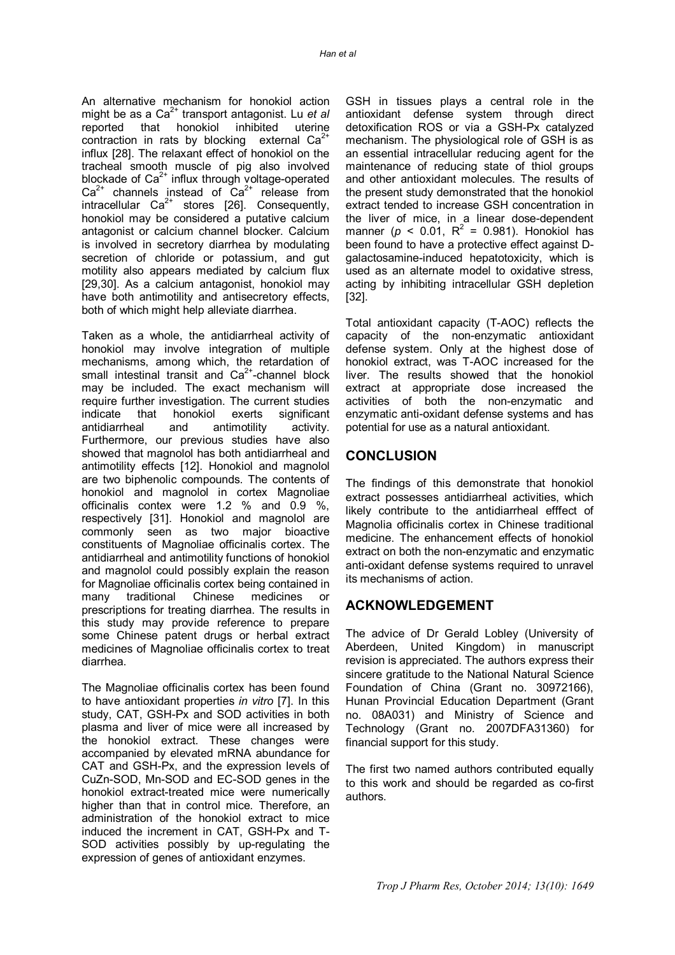An alternative mechanism for honokiol action might be as a Ca<sup>2+</sup> transport antagonist. Lu et al reported that honokiol inhibited uterine contraction in rats by blocking external  $Ca<sup>2+</sup>$ influx [28]. The relaxant effect of honokiol on the tracheal smooth muscle of pig also involved blockade of  $Ca<sup>2+</sup>$  influx through voltage-operated  $Ca<sup>2+</sup>$  channels instead of  $Ca<sup>2+</sup>$  release from intracellular  $Ca^{2+}$  stores [26]. Consequently, honokiol may be considered a putative calcium antagonist or calcium channel blocker. Calcium is involved in secretory diarrhea by modulating secretion of chloride or potassium, and gut motility also appears mediated by calcium flux [29,30]. As a calcium antagonist, honokiol may have both antimotility and antisecretory effects, both of which might help alleviate diarrhea.

Taken as a whole, the antidiarrheal activity of honokiol may involve integration of multiple mechanisms, among which, the retardation of small intestinal transit and  $Ca<sup>2+</sup>$ -channel block may be included. The exact mechanism will require further investigation. The current studies indicate that honokiol exerts significant antidiarrheal and antimotility activity. Furthermore, our previous studies have also showed that magnolol has both antidiarrheal and antimotility effects [12]. Honokiol and magnolol are two biphenolic compounds. The contents of honokiol and magnolol in cortex Magnoliae officinalis contex were 1.2 % and 0.9 %, respectively [31]. Honokiol and magnolol are commonly seen as two major bioactive constituents of Magnoliae officinalis cortex. The antidiarrheal and antimotility functions of honokiol and magnolol could possibly explain the reason for Magnoliae officinalis cortex being contained in many traditional Chinese medicines or prescriptions for treating diarrhea. The results in this study may provide reference to prepare some Chinese patent drugs or herbal extract medicines of Magnoliae officinalis cortex to treat diarrhea.

The Magnoliae officinalis cortex has been found to have antioxidant properties *in vitro* [7]. In this study, CAT, GSH-Px and SOD activities in both plasma and liver of mice were all increased by the honokiol extract. These changes were accompanied by elevated mRNA abundance for CAT and GSH-Px, and the expression levels of CuZn-SOD, Mn-SOD and EC-SOD genes in the honokiol extract-treated mice were numerically higher than that in control mice. Therefore, an administration of the honokiol extract to mice induced the increment in CAT, GSH-Px and T-SOD activities possibly by up-regulating the expression of genes of antioxidant enzymes.

GSH in tissues plays a central role in the antioxidant defense system through direct detoxification ROS or via a GSH-Px catalyzed mechanism. The physiological role of GSH is as an essential intracellular reducing agent for the maintenance of reducing state of thiol groups and other antioxidant molecules. The results of the present study demonstrated that the honokiol extract tended to increase GSH concentration in the liver of mice, in a linear dose-dependent manner ( $p < 0.01$ ,  $R^2 = 0.981$ ). Honokiol has been found to have a protective effect against Dgalactosamine-induced hepatotoxicity, which is used as an alternate model to oxidative stress, acting by inhibiting intracellular GSH depletion [32].

Total antioxidant capacity (T-AOC) reflects the capacity of the non-enzymatic antioxidant defense system. Only at the highest dose of honokiol extract, was T-AOC increased for the liver. The results showed that the honokiol extract at appropriate dose increased the activities of both the non-enzymatic and enzymatic anti-oxidant defense systems and has potential for use as a natural antioxidant.

## **CONCLUSION**

The findings of this demonstrate that honokiol extract possesses antidiarrheal activities, which likely contribute to the antidiarrheal efffect of Magnolia officinalis cortex in Chinese traditional medicine. The enhancement effects of honokiol extract on both the non-enzymatic and enzymatic anti-oxidant defense systems required to unravel its mechanisms of action.

## **ACKNOWLEDGEMENT**

The advice of Dr Gerald Lobley (University of Aberdeen, United Kingdom) in manuscript revision is appreciated. The authors express their sincere gratitude to the National Natural Science Foundation of China (Grant no. 30972166), Hunan Provincial Education Department (Grant no. 08A031) and Ministry of Science and Technology (Grant no. 2007DFA31360) for financial support for this study.

The first two named authors contributed equally to this work and should be regarded as co-first authors.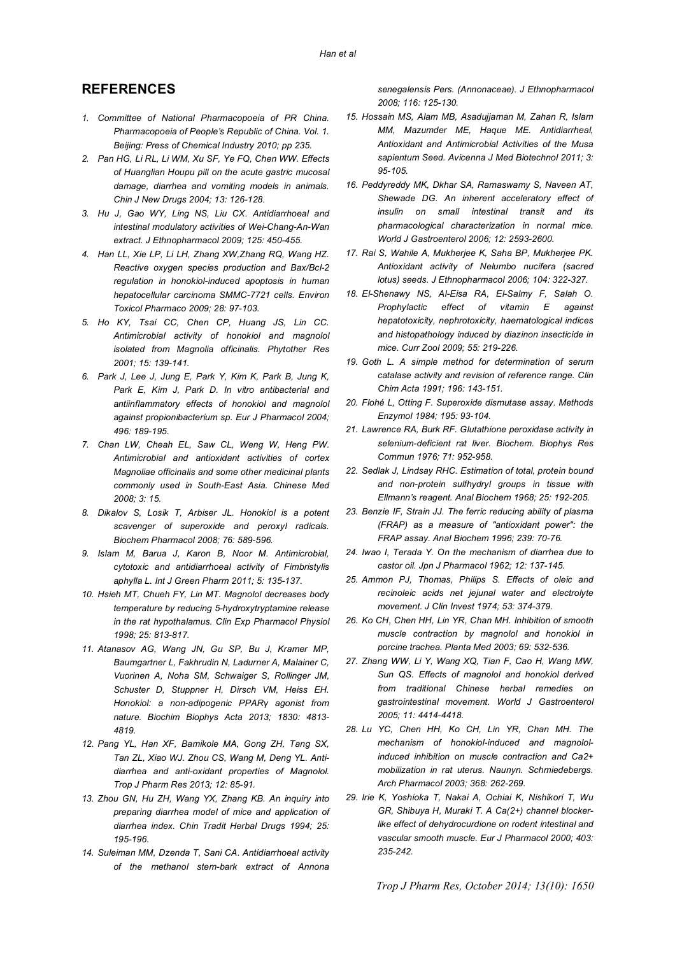## **REFERENCES**

- *1. Committee of National Pharmacopoeia of PR China. Pharmacopoeia of People's Republic of China. Vol. 1. Beijing: Press of Chemical Industry 2010; pp 235.*
- *2. Pan HG, Li RL, Li WM, Xu SF, Ye FQ, Chen WW. Effects of Huanglian Houpu pill on the acute gastric mucosal damage, diarrhea and vomiting models in animals. Chin J New Drugs 2004; 13: 126-128.*
- *3. Hu J, Gao WY, Ling NS, Liu CX. Antidiarrhoeal and intestinal modulatory activities of Wei-Chang-An-Wan extract. J Ethnopharmacol 2009; 125: 450-455.*
- *4. Han LL, Xie LP, Li LH, Zhang XW,Zhang RQ, Wang HZ. Reactive oxygen species production and Bax/Bcl-2 regulation in honokiol-induced apoptosis in human hepatocellular carcinoma SMMC-7721 cells. Environ Toxicol Pharmaco 2009; 28: 97-103.*
- *5. Ho KY, Tsai CC, Chen CP, Huang JS, Lin CC. Antimicrobial activity of honokiol and magnolol isolated from Magnolia officinalis. Phytother Res 2001; 15: 139-141.*
- *6. Park J, Lee J, Jung E, Park Y, Kim K, Park B, Jung K, Park E, Kim J, Park D. In vitro antibacterial and antiinflammatory effects of honokiol and magnolol against propionibacterium sp. Eur J Pharmacol 2004; 496: 189-195.*
- *7. Chan LW, Cheah EL, Saw CL, Weng W, Heng PW. Antimicrobial and antioxidant activities of cortex Magnoliae officinalis and some other medicinal plants commonly used in South-East Asia. Chinese Med 2008; 3: 15.*
- *8. Dikalov S, Losik T, Arbiser JL. Honokiol is a potent scavenger of superoxide and peroxyl radicals. Biochem Pharmacol 2008; 76: 589-596.*
- *9. Islam M, Barua J, Karon B, Noor M. Antimicrobial, cytotoxic and antidiarrhoeal activity of Fimbristylis aphylla L. Int J Green Pharm 2011; 5: 135-137.*
- *10. Hsieh MT, Chueh FY, Lin MT. Magnolol decreases body temperature by reducing 5-hydroxytryptamine release in the rat hypothalamus. Clin Exp Pharmacol Physiol 1998; 25: 813-817.*
- *11. Atanasov AG, Wang JN, Gu SP, Bu J, Kramer MP, Baumgartner L, Fakhrudin N, Ladurner A, Malainer C, Vuorinen A, Noha SM, Schwaiger S, Rollinger JM, Schuster D, Stuppner H, Dirsch VM, Heiss EH. Honokiol: a non-adipogenic PPARγ agonist from nature. Biochim Biophys Acta 2013; 1830: 4813- 4819.*
- *12. Pang YL, Han XF, Bamikole MA, Gong ZH, Tang SX, Tan ZL, Xiao WJ. Zhou CS, Wang M, Deng YL. Antidiarrhea and anti-oxidant properties of Magnolol. Trop J Pharm Res 2013; 12: 85-91.*
- *13. Zhou GN, Hu ZH, Wang YX, Zhang KB. An inquiry into preparing diarrhea model of mice and application of diarrhea index. Chin Tradit Herbal Drugs 1994; 25: 195-196.*
- *14. Suleiman MM, Dzenda T, Sani CA. Antidiarrhoeal activity of the methanol stem-bark extract of Annona*

*senegalensis Pers. (Annonaceae). J Ethnopharmacol 2008; 116: 125-130.*

- *15. Hossain MS, Alam MB, Asadujjaman M, Zahan R, Islam MM, Mazumder ME, Haque ME. Antidiarrheal, Antioxidant and Antimicrobial Activities of the Musa sapientum Seed. Avicenna J Med Biotechnol 2011; 3: 95-105.*
- *16. Peddyreddy MK, Dkhar SA, Ramaswamy S, Naveen AT, Shewade DG. An inherent acceleratory effect of insulin on small intestinal transit and its pharmacological characterization in normal mice. World J Gastroenterol 2006; 12: 2593-2600.*
- *17. Rai S, Wahile A, Mukherjee K, Saha BP, Mukherjee PK. Antioxidant activity of Nelumbo nucifera (sacred lotus) seeds. J Ethnopharmacol 2006; 104: 322-327.*
- *18. El-Shenawy NS, Al-Eisa RA, El-Salmy F, Salah O. Prophylactic effect of vitamin E against hepatotoxicity, nephrotoxicity, haematological indices and histopathology induced by diazinon insecticide in mice. Curr Zool 2009; 55: 219-226.*
- *19. Goth L. A simple method for determination of serum catalase activity and revision of reference range. Clin Chim Acta 1991; 196: 143-151.*
- *20. Flohé L, Otting F. Superoxide dismutase assay. Methods Enzymol 1984; 195: 93-104.*
- *21. Lawrence RA, Burk RF. Glutathione peroxidase activity in selenium-deficient rat liver. Biochem. Biophys Res Commun 1976; 71: 952-958.*
- *22. Sedlak J, Lindsay RHC. Estimation of total, protein bound and non-protein sulfhydryl groups in tissue with Ellmann's reagent. Anal Biochem 1968; 25: 192-205.*
- *23. Benzie IF, Strain JJ. The ferric reducing ability of plasma (FRAP) as a measure of "antioxidant power": the FRAP assay. Anal Biochem 1996; 239: 70-76.*
- *24. Iwao I, Terada Y. On the mechanism of diarrhea due to castor oil. Jpn J Pharmacol 1962; 12: 137-145.*
- *25. Ammon PJ, Thomas, Philips S. Effects of oleic and recinoleic acids net jejunal water and electrolyte movement. J Clin Invest 1974; 53: 374-379.*
- *26. Ko CH, Chen HH, Lin YR, Chan MH. Inhibition of smooth muscle contraction by magnolol and honokiol in porcine trachea. Planta Med 2003; 69: 532-536.*
- *27. Zhang WW, Li Y, Wang XQ, Tian F, Cao H, Wang MW, Sun QS. Effects of magnolol and honokiol derived from traditional Chinese herbal remedies on gastrointestinal movement. World J Gastroenterol 2005; 11: 4414-4418.*
- *28. Lu YC, Chen HH, Ko CH, Lin YR, Chan MH. The mechanism of honokiol-induced and magnololinduced inhibition on muscle contraction and Ca2+ mobilization in rat uterus. Naunyn. Schmiedebergs. Arch Pharmacol 2003; 368: 262-269.*
- *29. Irie K, Yoshioka T, Nakai A, Ochiai K, Nishikori T, Wu GR, Shibuya H, Muraki T. A Ca(2+) channel blockerlike effect of dehydrocurdione on rodent intestinal and vascular smooth muscle. Eur J Pharmacol 2000; 403: 235-242.*

*Trop J Pharm Res, October 2014; 13(10): 1650*